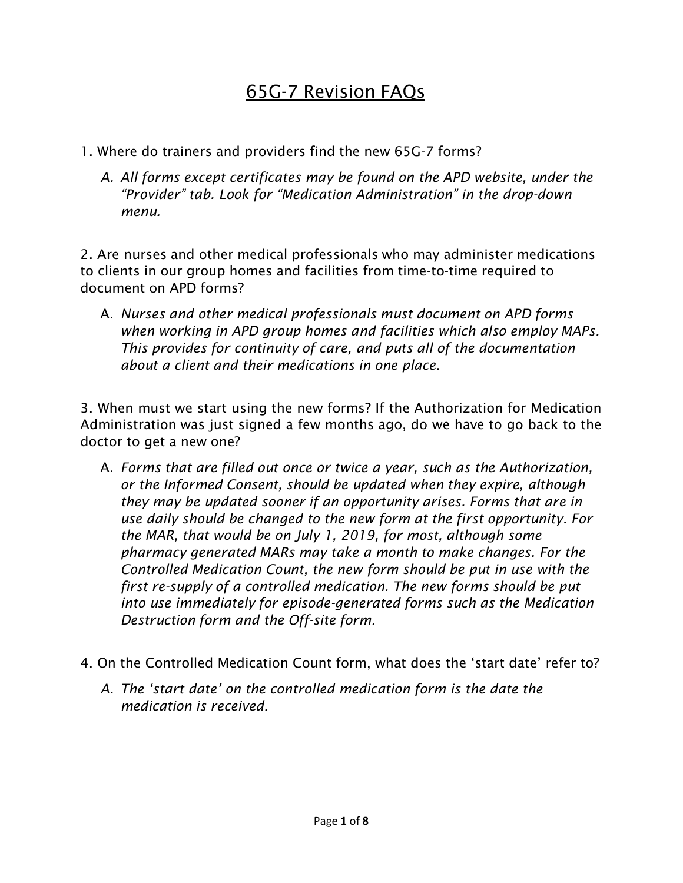## 65G-7 Revision FAQs

- 1. Where do trainers and providers find the new 65G-7 forms?
	- *A. All forms except certificates may be found on the APD website, under the "Provider" tab. Look for "Medication Administration" in the drop-down menu.*

2. Are nurses and other medical professionals who may administer medications to clients in our group homes and facilities from time-to-time required to document on APD forms?

A. *Nurses and other medical professionals must document on APD forms when working in APD group homes and facilities which also employ MAPs. This provides for continuity of care, and puts all of the documentation about a client and their medications in one place.*

3. When must we start using the new forms? If the Authorization for Medication Administration was just signed a few months ago, do we have to go back to the doctor to get a new one?

- A. *Forms that are filled out once or twice a year, such as the Authorization, or the Informed Consent, should be updated when they expire, although they may be updated sooner if an opportunity arises. Forms that are in use daily should be changed to the new form at the first opportunity. For the MAR, that would be on July 1, 2019, for most, although some pharmacy generated MARs may take a month to make changes. For the Controlled Medication Count, the new form should be put in use with the first re-supply of a controlled medication. The new forms should be put into use immediately for episode-generated forms such as the Medication Destruction form and the Off-site form.*
- 4. On the Controlled Medication Count form, what does the 'start date' refer to?
	- *A. The 'start date' on the controlled medication form is the date the medication is received.*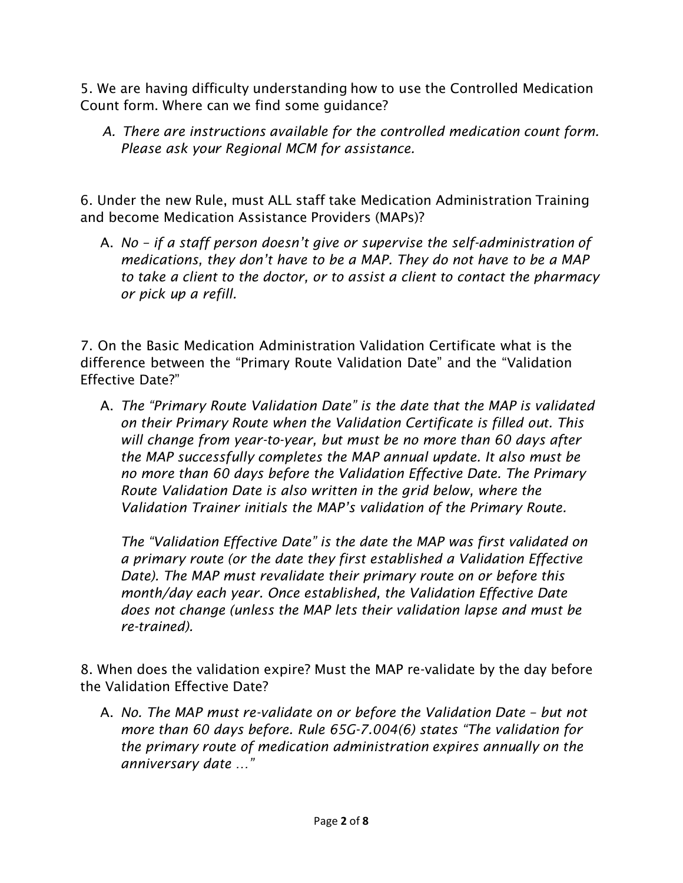5. We are having difficulty understanding how to use the Controlled Medication Count form. Where can we find some guidance?

*A. There are instructions available for the controlled medication count form. Please ask your Regional MCM for assistance.*

6. Under the new Rule, must ALL staff take Medication Administration Training and become Medication Assistance Providers (MAPs)?

A. *No – if a staff person doesn't give or supervise the self-administration of medications, they don't have to be a MAP. They do not have to be a MAP to take a client to the doctor, or to assist a client to contact the pharmacy or pick up a refill.*

7. On the Basic Medication Administration Validation Certificate what is the difference between the "Primary Route Validation Date" and the "Validation Effective Date?"

A. *The "Primary Route Validation Date" is the date that the MAP is validated on their Primary Route when the Validation Certificate is filled out. This will change from year-to-year, but must be no more than 60 days after the MAP successfully completes the MAP annual update. It also must be no more than 60 days before the Validation Effective Date. The Primary Route Validation Date is also written in the grid below, where the Validation Trainer initials the MAP's validation of the Primary Route.*

*The "Validation Effective Date" is the date the MAP was first validated on a primary route (or the date they first established a Validation Effective Date). The MAP must revalidate their primary route on or before this month/day each year. Once established, the Validation Effective Date does not change (unless the MAP lets their validation lapse and must be re-trained).*

8. When does the validation expire? Must the MAP re-validate by the day before the Validation Effective Date?

A. *No. The MAP must re-validate on or before the Validation Date – but not more than 60 days before. Rule 65G-7.004(6) states "The validation for the primary route of medication administration expires annually on the anniversary date …"*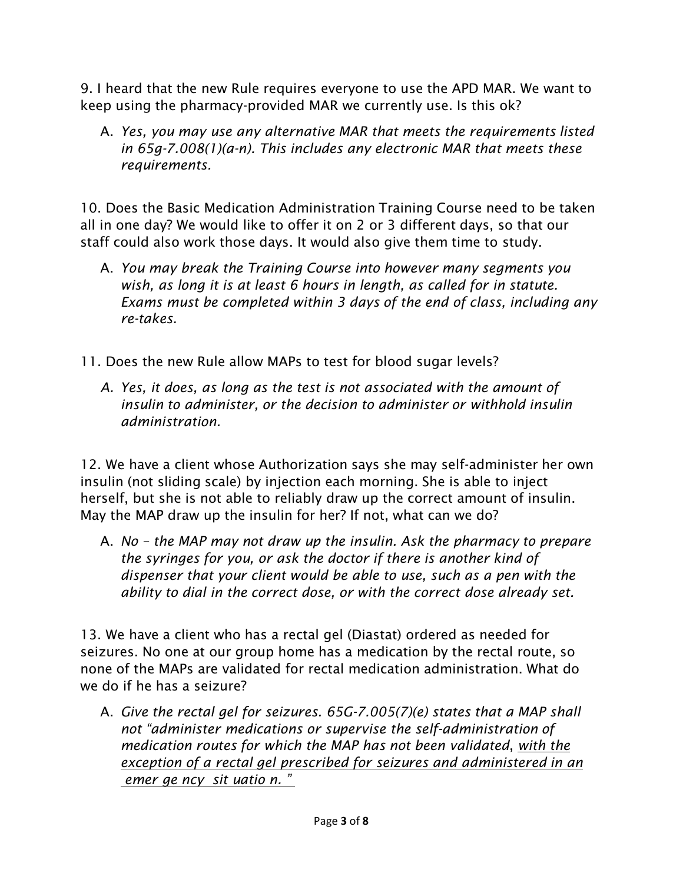9. I heard that the new Rule requires everyone to use the APD MAR. We want to keep using the pharmacy-provided MAR we currently use. Is this ok?

A. *Yes, you may use any alternative MAR that meets the requirements listed in 65g-7.008(1)(a-n). This includes any electronic MAR that meets these requirements.*

10. Does the Basic Medication Administration Training Course need to be taken all in one day? We would like to offer it on 2 or 3 different days, so that our staff could also work those days. It would also give them time to study.

- A. *You may break the Training Course into however many segments you wish, as long it is at least 6 hours in length, as called for in statute. Exams must be completed within 3 days of the end of class, including any re-takes.*
- 11. Does the new Rule allow MAPs to test for blood sugar levels?
	- *A. Yes, it does, as long as the test is not associated with the amount of insulin to administer, or the decision to administer or withhold insulin administration.*

12. We have a client whose Authorization says she may self-administer her own insulin (not sliding scale) by injection each morning. She is able to inject herself, but she is not able to reliably draw up the correct amount of insulin. May the MAP draw up the insulin for her? If not, what can we do?

A. *No – the MAP may not draw up the insulin. Ask the pharmacy to prepare the syringes for you, or ask the doctor if there is another kind of dispenser that your client would be able to use, such as a pen with the ability to dial in the correct dose, or with the correct dose already set.*

13. We have a client who has a rectal gel (Diastat) ordered as needed for seizures. No one at our group home has a medication by the rectal route, so none of the MAPs are validated for rectal medication administration. What do we do if he has a seizure?

A. *Give the rectal gel for seizures. 65G-7.005(7)(e) states that a MAP shall not "administer medications or supervise the self-administration of medication routes for which the MAP has not been validated*, *with the exception of a rectal gel prescribed for seizures and administered in an emer ge ncy sit uatio n. "*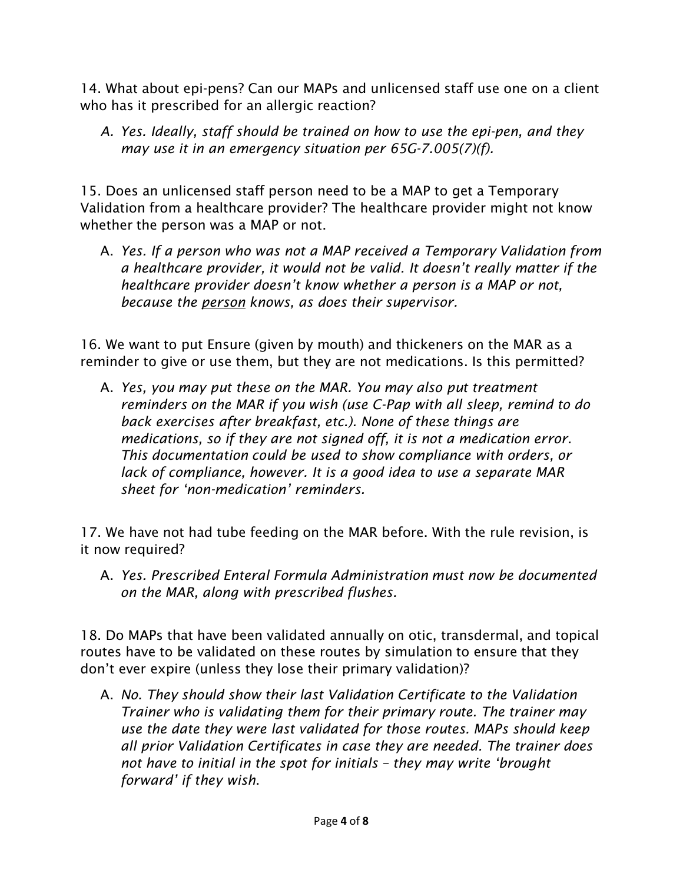14. What about epi-pens? Can our MAPs and unlicensed staff use one on a client who has it prescribed for an allergic reaction?

*A. Yes. Ideally, staff should be trained on how to use the epi-pen, and they may use it in an emergency situation per 65G-7.005(7)(f).*

15. Does an unlicensed staff person need to be a MAP to get a Temporary Validation from a healthcare provider? The healthcare provider might not know whether the person was a MAP or not.

A. *Yes. If a person who was not a MAP received a Temporary Validation from a healthcare provider, it would not be valid. It doesn't really matter if the healthcare provider doesn't know whether a person is a MAP or not, because the person knows, as does their supervisor.*

16. We want to put Ensure (given by mouth) and thickeners on the MAR as a reminder to give or use them, but they are not medications. Is this permitted?

A. *Yes, you may put these on the MAR. You may also put treatment reminders on the MAR if you wish (use C-Pap with all sleep, remind to do back exercises after breakfast, etc.). None of these things are medications, so if they are not signed off, it is not a medication error. This documentation could be used to show compliance with orders, or lack of compliance, however. It is a good idea to use a separate MAR sheet for 'non-medication' reminders.*

17. We have not had tube feeding on the MAR before. With the rule revision, is it now required?

A. *Yes. Prescribed Enteral Formula Administration must now be documented on the MAR, along with prescribed flushes.*

18. Do MAPs that have been validated annually on otic, transdermal, and topical routes have to be validated on these routes by simulation to ensure that they don't ever expire (unless they lose their primary validation)?

A. *No. They should show their last Validation Certificate to the Validation Trainer who is validating them for their primary route. The trainer may use the date they were last validated for those routes. MAPs should keep all prior Validation Certificates in case they are needed. The trainer does not have to initial in the spot for initials – they may write 'brought forward' if they wish*.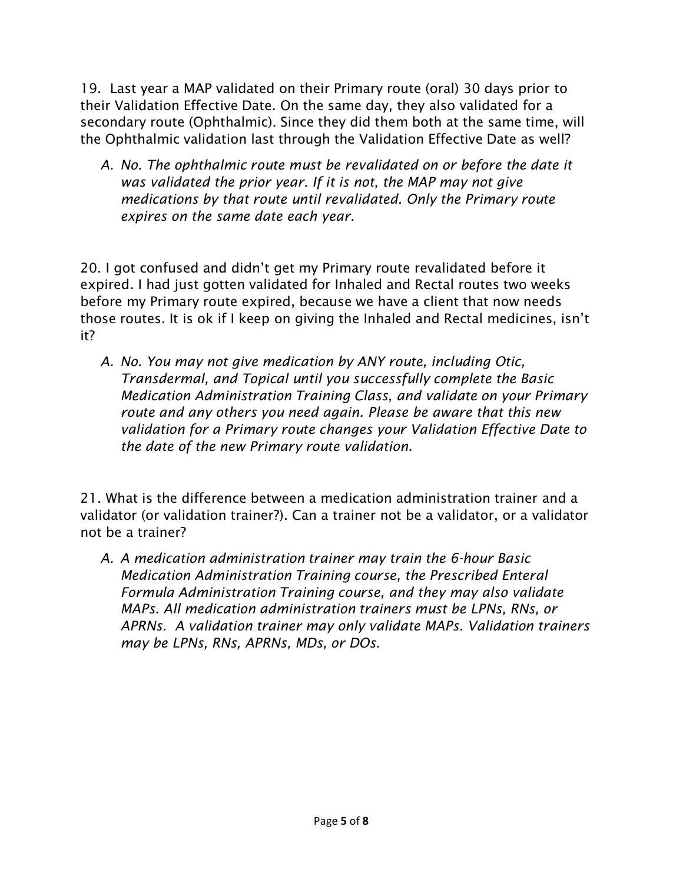19. Last year a MAP validated on their Primary route (oral) 30 days prior to their Validation Effective Date. On the same day, they also validated for a secondary route (Ophthalmic). Since they did them both at the same time, will the Ophthalmic validation last through the Validation Effective Date as well?

*A. No. The ophthalmic route must be revalidated on or before the date it was validated the prior year. If it is not, the MAP may not give medications by that route until revalidated. Only the Primary route expires on the same date each year.*

20. I got confused and didn't get my Primary route revalidated before it expired. I had just gotten validated for Inhaled and Rectal routes two weeks before my Primary route expired, because we have a client that now needs those routes. It is ok if I keep on giving the Inhaled and Rectal medicines, isn't it?

*A. No. You may not give medication by ANY route, including Otic, Transdermal, and Topical until you successfully complete the Basic Medication Administration Training Class, and validate on your Primary route and any others you need again. Please be aware that this new validation for a Primary route changes your Validation Effective Date to the date of the new Primary route validation.*

21. What is the difference between a medication administration trainer and a validator (or validation trainer?). Can a trainer not be a validator, or a validator not be a trainer?

*A. A medication administration trainer may train the 6-hour Basic Medication Administration Training course, the Prescribed Enteral Formula Administration Training course, and they may also validate MAPs. All medication administration trainers must be LPNs, RNs, or APRNs. A validation trainer may only validate MAPs. Validation trainers may be LPNs, RNs, APRNs, MDs, or DOs.*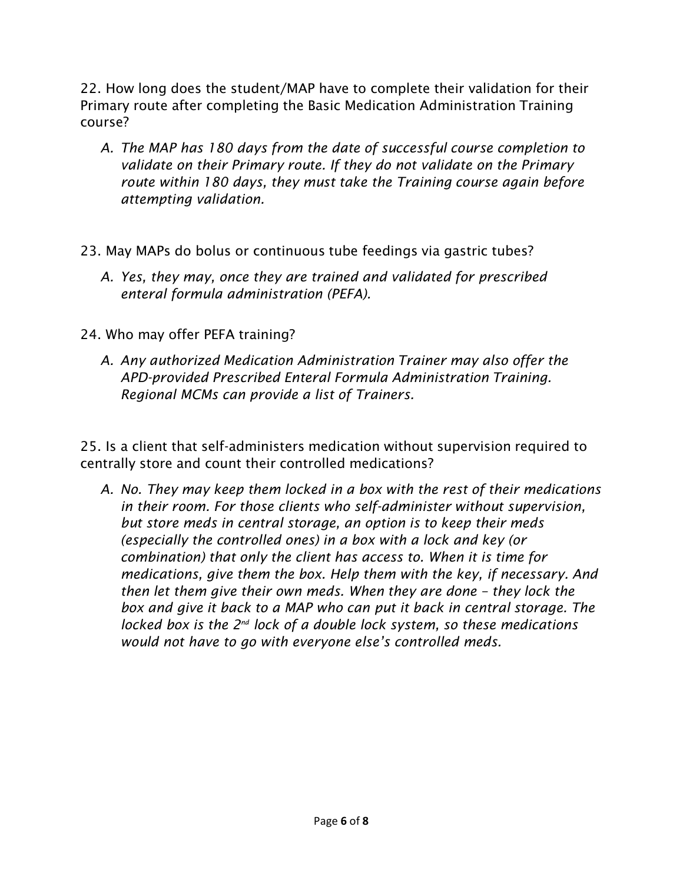22. How long does the student/MAP have to complete their validation for their Primary route after completing the Basic Medication Administration Training course?

- *A. The MAP has 180 days from the date of successful course completion to validate on their Primary route. If they do not validate on the Primary route within 180 days, they must take the Training course again before attempting validation.*
- 23. May MAPs do bolus or continuous tube feedings via gastric tubes?
	- *A. Yes, they may, once they are trained and validated for prescribed enteral formula administration (PEFA).*
- 24. Who may offer PEFA training?
	- *A. Any authorized Medication Administration Trainer may also offer the APD-provided Prescribed Enteral Formula Administration Training. Regional MCMs can provide a list of Trainers.*

25. Is a client that self-administers medication without supervision required to centrally store and count their controlled medications?

*A. No. They may keep them locked in a box with the rest of their medications in their room. For those clients who self-administer without supervision, but store meds in central storage, an option is to keep their meds (especially the controlled ones) in a box with a lock and key (or combination) that only the client has access to. When it is time for medications, give them the box. Help them with the key, if necessary. And then let them give their own meds. When they are done – they lock the box and give it back to a MAP who can put it back in central storage. The locked box is the 2<sup>nd</sup> lock of a double lock system, so these medications would not have to go with everyone else's controlled meds.*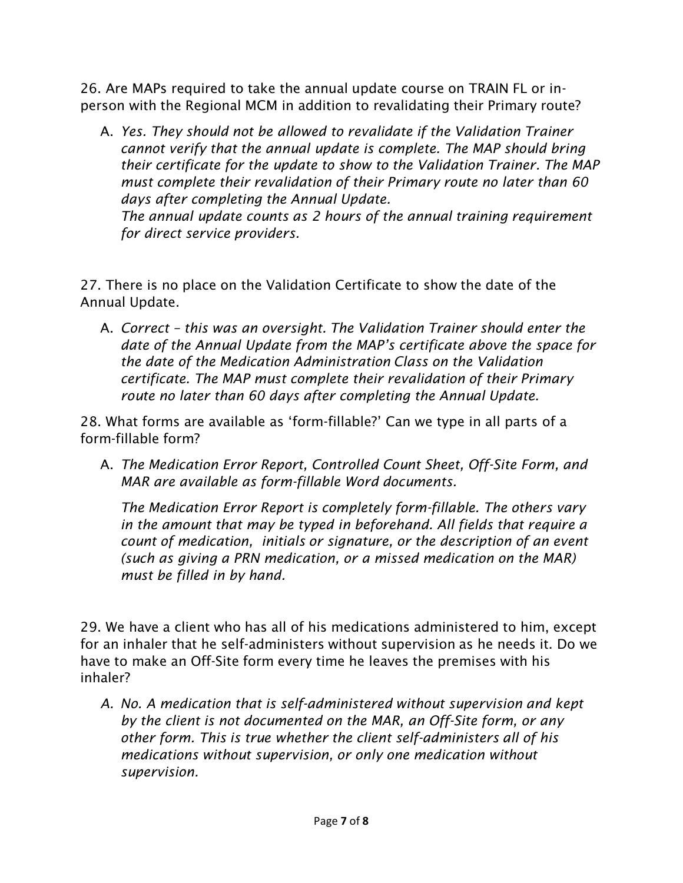26. Are MAPs required to take the annual update course on TRAIN FL or inperson with the Regional MCM in addition to revalidating their Primary route?

A. *Yes. They should not be allowed to revalidate if the Validation Trainer cannot verify that the annual update is complete. The MAP should bring their certificate for the update to show to the Validation Trainer. The MAP must complete their revalidation of their Primary route no later than 60 days after completing the Annual Update.*

*The annual update counts as 2 hours of the annual training requirement for direct service providers.*

27. There is no place on the Validation Certificate to show the date of the Annual Update.

A. *Correct – this was an oversight. The Validation Trainer should enter the date of the Annual Update from the MAP's certificate above the space for the date of the Medication Administration Class on the Validation certificate. The MAP must complete their revalidation of their Primary route no later than 60 days after completing the Annual Update.*

28. What forms are available as 'form-fillable?' Can we type in all parts of a form-fillable form?

A. *The Medication Error Report, Controlled Count Sheet, Off-Site Form, and MAR are available as form-fillable Word documents.*

*The Medication Error Report is completely form-fillable. The others vary in the amount that may be typed in beforehand. All fields that require a count of medication, initials or signature, or the description of an event (such as giving a PRN medication, or a missed medication on the MAR) must be filled in by hand.*

29. We have a client who has all of his medications administered to him, except for an inhaler that he self-administers without supervision as he needs it. Do we have to make an Off-Site form every time he leaves the premises with his inhaler?

*A. No. A medication that is self-administered without supervision and kept by the client is not documented on the MAR, an Off-Site form, or any other form. This is true whether the client self-administers all of his medications without supervision, or only one medication without supervision.*